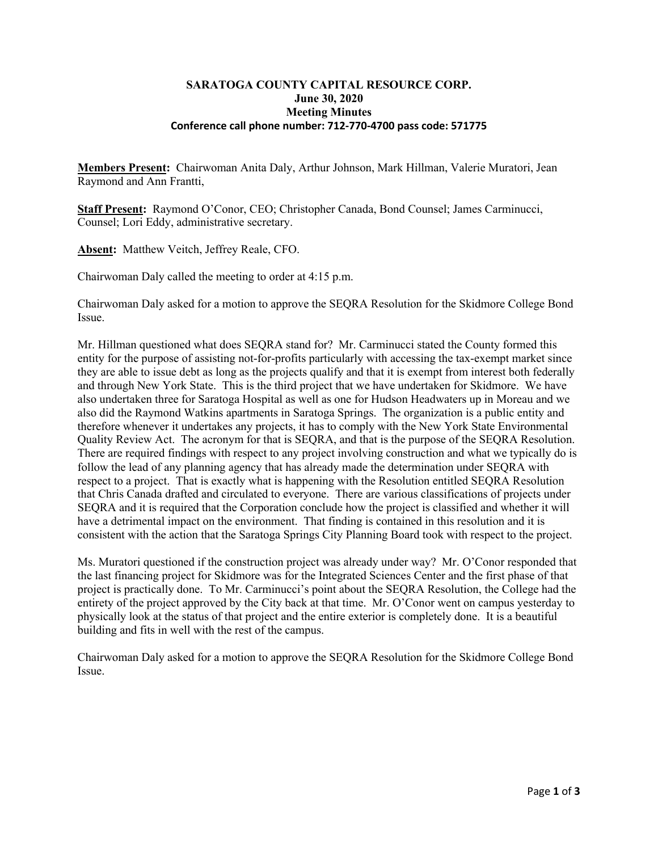### **SARATOGA COUNTY CAPITAL RESOURCE CORP. June 30, 2020 Meeting Minutes Conference call phone number: 712-770-4700 pass code: 571775**

**Members Present:** Chairwoman Anita Daly, Arthur Johnson, Mark Hillman, Valerie Muratori, Jean Raymond and Ann Frantti,

**Staff Present:** Raymond O'Conor, CEO; Christopher Canada, Bond Counsel; James Carminucci, Counsel; Lori Eddy, administrative secretary.

**Absent:** Matthew Veitch, Jeffrey Reale, CFO.

Chairwoman Daly called the meeting to order at 4:15 p.m.

Chairwoman Daly asked for a motion to approve the SEQRA Resolution for the Skidmore College Bond Issue.

Mr. Hillman questioned what does SEQRA stand for? Mr. Carminucci stated the County formed this entity for the purpose of assisting not-for-profits particularly with accessing the tax-exempt market since they are able to issue debt as long as the projects qualify and that it is exempt from interest both federally and through New York State. This is the third project that we have undertaken for Skidmore. We have also undertaken three for Saratoga Hospital as well as one for Hudson Headwaters up in Moreau and we also did the Raymond Watkins apartments in Saratoga Springs. The organization is a public entity and therefore whenever it undertakes any projects, it has to comply with the New York State Environmental Quality Review Act. The acronym for that is SEQRA, and that is the purpose of the SEQRA Resolution. There are required findings with respect to any project involving construction and what we typically do is follow the lead of any planning agency that has already made the determination under SEQRA with respect to a project. That is exactly what is happening with the Resolution entitled SEQRA Resolution that Chris Canada drafted and circulated to everyone. There are various classifications of projects under SEQRA and it is required that the Corporation conclude how the project is classified and whether it will have a detrimental impact on the environment. That finding is contained in this resolution and it is consistent with the action that the Saratoga Springs City Planning Board took with respect to the project.

Ms. Muratori questioned if the construction project was already under way? Mr. O'Conor responded that the last financing project for Skidmore was for the Integrated Sciences Center and the first phase of that project is practically done. To Mr. Carminucci's point about the SEQRA Resolution, the College had the entirety of the project approved by the City back at that time. Mr. O'Conor went on campus yesterday to physically look at the status of that project and the entire exterior is completely done. It is a beautiful building and fits in well with the rest of the campus.

Chairwoman Daly asked for a motion to approve the SEQRA Resolution for the Skidmore College Bond Issue.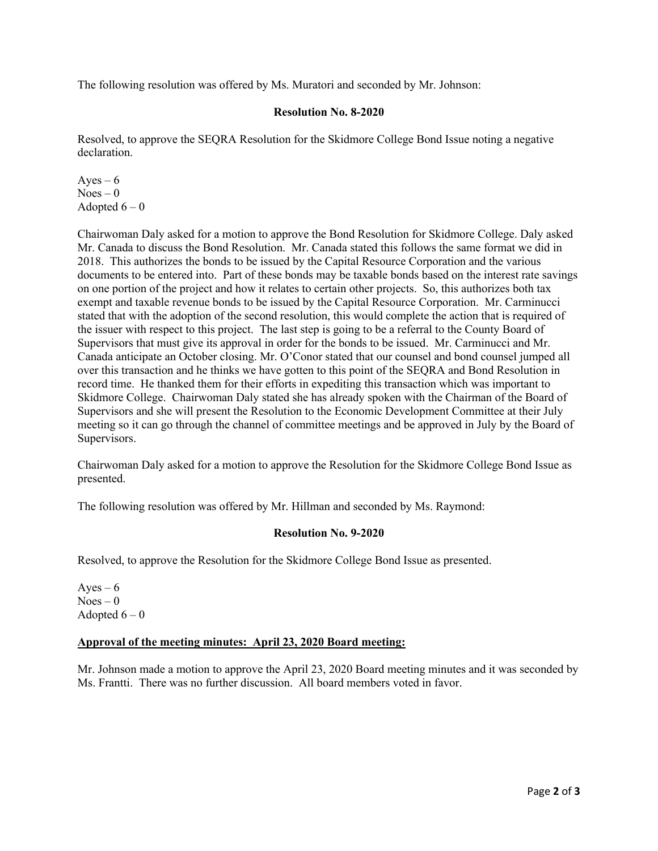The following resolution was offered by Ms. Muratori and seconded by Mr. Johnson:

# **Resolution No. 8-2020**

Resolved, to approve the SEQRA Resolution for the Skidmore College Bond Issue noting a negative declaration.

Ayes  $-6$  $Noes - 0$ Adopted  $6-0$ 

Chairwoman Daly asked for a motion to approve the Bond Resolution for Skidmore College. Daly asked Mr. Canada to discuss the Bond Resolution. Mr. Canada stated this follows the same format we did in 2018. This authorizes the bonds to be issued by the Capital Resource Corporation and the various documents to be entered into. Part of these bonds may be taxable bonds based on the interest rate savings on one portion of the project and how it relates to certain other projects. So, this authorizes both tax exempt and taxable revenue bonds to be issued by the Capital Resource Corporation. Mr. Carminucci stated that with the adoption of the second resolution, this would complete the action that is required of the issuer with respect to this project. The last step is going to be a referral to the County Board of Supervisors that must give its approval in order for the bonds to be issued. Mr. Carminucci and Mr. Canada anticipate an October closing. Mr. O'Conor stated that our counsel and bond counsel jumped all over this transaction and he thinks we have gotten to this point of the SEQRA and Bond Resolution in record time. He thanked them for their efforts in expediting this transaction which was important to Skidmore College. Chairwoman Daly stated she has already spoken with the Chairman of the Board of Supervisors and she will present the Resolution to the Economic Development Committee at their July meeting so it can go through the channel of committee meetings and be approved in July by the Board of Supervisors.

Chairwoman Daly asked for a motion to approve the Resolution for the Skidmore College Bond Issue as presented.

The following resolution was offered by Mr. Hillman and seconded by Ms. Raymond:

## **Resolution No. 9-2020**

Resolved, to approve the Resolution for the Skidmore College Bond Issue as presented.

Ayes  $-6$  $Noes - 0$ Adopted  $6-0$ 

## **Approval of the meeting minutes: April 23, 2020 Board meeting:**

Mr. Johnson made a motion to approve the April 23, 2020 Board meeting minutes and it was seconded by Ms. Frantti. There was no further discussion. All board members voted in favor.